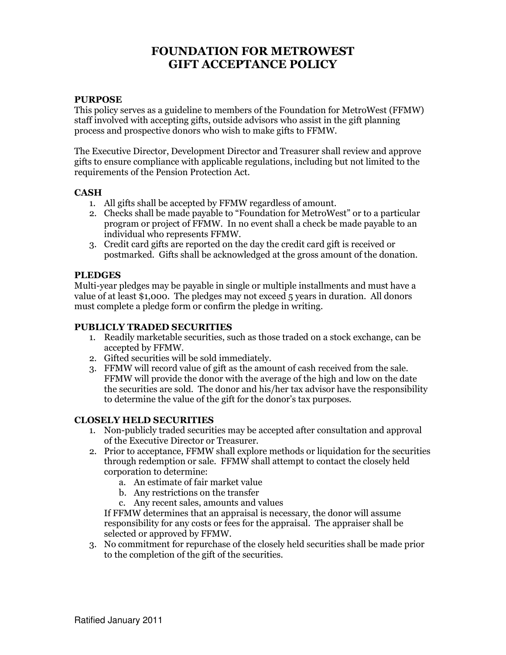# FOUNDATION FOR METROWEST GIFT ACCEPTANCE POLICY

## PURPOSE

This policy serves as a guideline to members of the Foundation for MetroWest (FFMW) staff involved with accepting gifts, outside advisors who assist in the gift planning process and prospective donors who wish to make gifts to FFMW.

The Executive Director, Development Director and Treasurer shall review and approve gifts to ensure compliance with applicable regulations, including but not limited to the requirements of the Pension Protection Act.

#### CASH

- 1. All gifts shall be accepted by FFMW regardless of amount.
- 2. Checks shall be made payable to "Foundation for MetroWest" or to a particular program or project of FFMW. In no event shall a check be made payable to an individual who represents FFMW.
- 3. Credit card gifts are reported on the day the credit card gift is received or postmarked. Gifts shall be acknowledged at the gross amount of the donation.

# **PLEDGES**

Multi-year pledges may be payable in single or multiple installments and must have a value of at least \$1,000. The pledges may not exceed 5 years in duration. All donors must complete a pledge form or confirm the pledge in writing.

## PUBLICLY TRADED SECURITIES

- 1. Readily marketable securities, such as those traded on a stock exchange, can be accepted by FFMW.
- 2. Gifted securities will be sold immediately.
- 3. FFMW will record value of gift as the amount of cash received from the sale. FFMW will provide the donor with the average of the high and low on the date the securities are sold. The donor and his/her tax advisor have the responsibility to determine the value of the gift for the donor's tax purposes.

#### CLOSELY HELD SECURITIES

- 1. Non-publicly traded securities may be accepted after consultation and approval of the Executive Director or Treasurer.
- 2. Prior to acceptance, FFMW shall explore methods or liquidation for the securities through redemption or sale. FFMW shall attempt to contact the closely held corporation to determine:
	- a. An estimate of fair market value
	- b. Any restrictions on the transfer
	- c. Any recent sales, amounts and values

If FFMW determines that an appraisal is necessary, the donor will assume responsibility for any costs or fees for the appraisal. The appraiser shall be selected or approved by FFMW.

3. No commitment for repurchase of the closely held securities shall be made prior to the completion of the gift of the securities.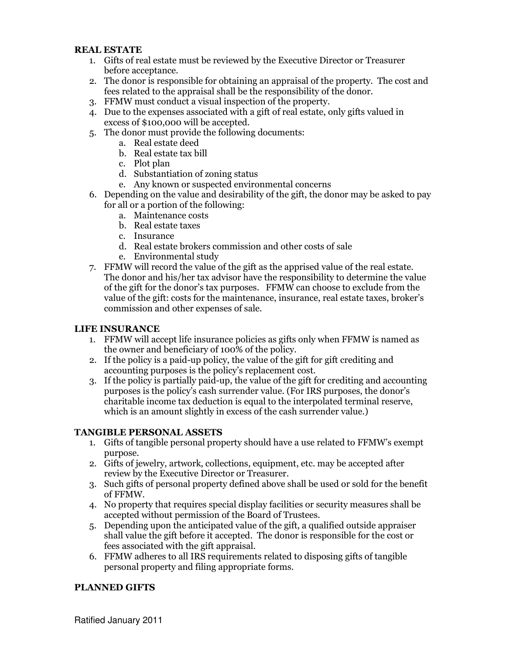# REAL ESTATE

- 1. Gifts of real estate must be reviewed by the Executive Director or Treasurer before acceptance.
- 2. The donor is responsible for obtaining an appraisal of the property. The cost and fees related to the appraisal shall be the responsibility of the donor.
- 3. FFMW must conduct a visual inspection of the property.
- 4. Due to the expenses associated with a gift of real estate, only gifts valued in excess of \$100,000 will be accepted.
- 5. The donor must provide the following documents:
	- a. Real estate deed
	- b. Real estate tax bill
	- c. Plot plan
	- d. Substantiation of zoning status
	- e. Any known or suspected environmental concerns
- 6. Depending on the value and desirability of the gift, the donor may be asked to pay for all or a portion of the following:
	- a. Maintenance costs
	- b. Real estate taxes
	- c. Insurance
	- d. Real estate brokers commission and other costs of sale
	- e. Environmental study
- 7. FFMW will record the value of the gift as the apprised value of the real estate. The donor and his/her tax advisor have the responsibility to determine the value of the gift for the donor's tax purposes. FFMW can choose to exclude from the value of the gift: costs for the maintenance, insurance, real estate taxes, broker's commission and other expenses of sale.

### LIFE INSURANCE

- 1. FFMW will accept life insurance policies as gifts only when FFMW is named as the owner and beneficiary of 100% of the policy.
- 2. If the policy is a paid-up policy, the value of the gift for gift crediting and accounting purposes is the policy's replacement cost.
- 3. If the policy is partially paid-up, the value of the gift for crediting and accounting purposes is the policy's cash surrender value. (For IRS purposes, the donor's charitable income tax deduction is equal to the interpolated terminal reserve, which is an amount slightly in excess of the cash surrender value.)

# TANGIBLE PERSONAL ASSETS

- 1. Gifts of tangible personal property should have a use related to FFMW's exempt purpose.
- 2. Gifts of jewelry, artwork, collections, equipment, etc. may be accepted after review by the Executive Director or Treasurer.
- 3. Such gifts of personal property defined above shall be used or sold for the benefit of FFMW.
- 4. No property that requires special display facilities or security measures shall be accepted without permission of the Board of Trustees.
- 5. Depending upon the anticipated value of the gift, a qualified outside appraiser shall value the gift before it accepted. The donor is responsible for the cost or fees associated with the gift appraisal.
- 6. FFMW adheres to all IRS requirements related to disposing gifts of tangible personal property and filing appropriate forms.

# PLANNED GIFTS